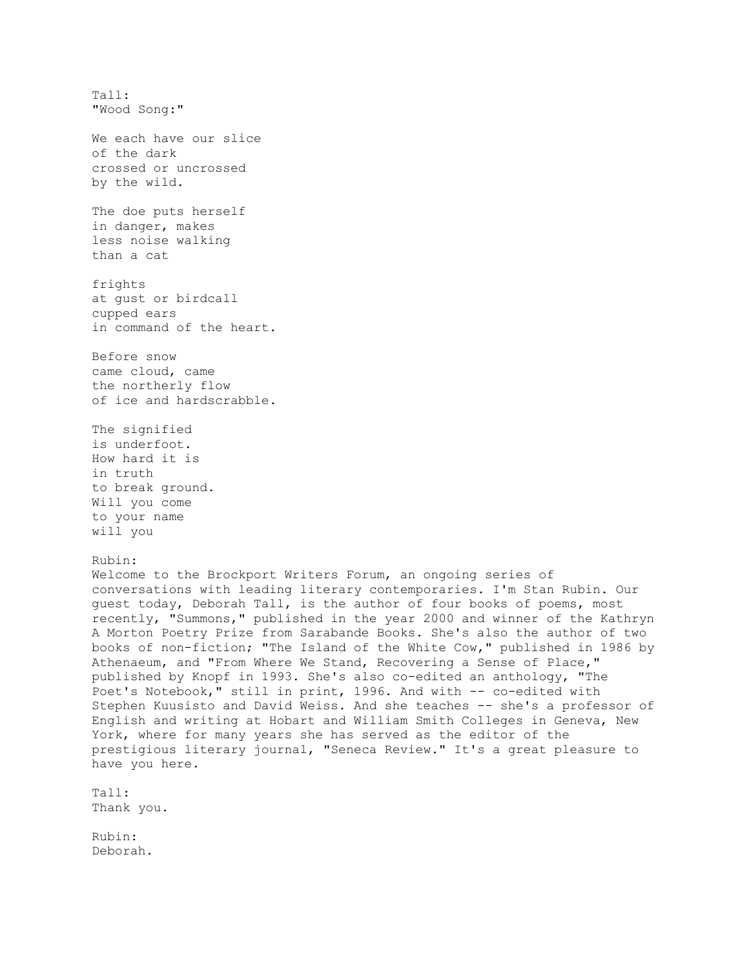Tall: "Wood Song:" We each have our slice of the dark crossed or uncrossed by the wild. The doe puts herself in danger, makes less noise walking than a cat frights at gust or birdcall cupped ears in command of the heart. Before snow came cloud, came the northerly flow of ice and hardscrabble. The signified is underfoot. How hard it is in truth to break ground. Will you come to your name will you Rubin: Welcome to the Brockport Writers Forum, an ongoing series of conversations with leading literary contemporaries. I'm Stan Rubin. Our guest today, Deborah Tall, is the author of four books of poems, most recently, "Summons," published in the year 2000 and winner of the Kathryn A Morton Poetry Prize from Sarabande Books. She's also the author of two books of non-fiction; "The Island of the White Cow," published in 1986 by Athenaeum, and "From Where We Stand, Recovering a Sense of Place," published by Knopf in 1993. She's also co-edited an anthology, "The Poet's Notebook," still in print, 1996. And with -- co-edited with Stephen Kuusisto and David Weiss. And she teaches -- she's a professor of English and writing at Hobart and William Smith Colleges in Geneva, New York, where for many years she has served as the editor of the prestigious literary journal, "Seneca Review." It's a great pleasure to have you here. Tall: Thank you. Rubin: Deborah.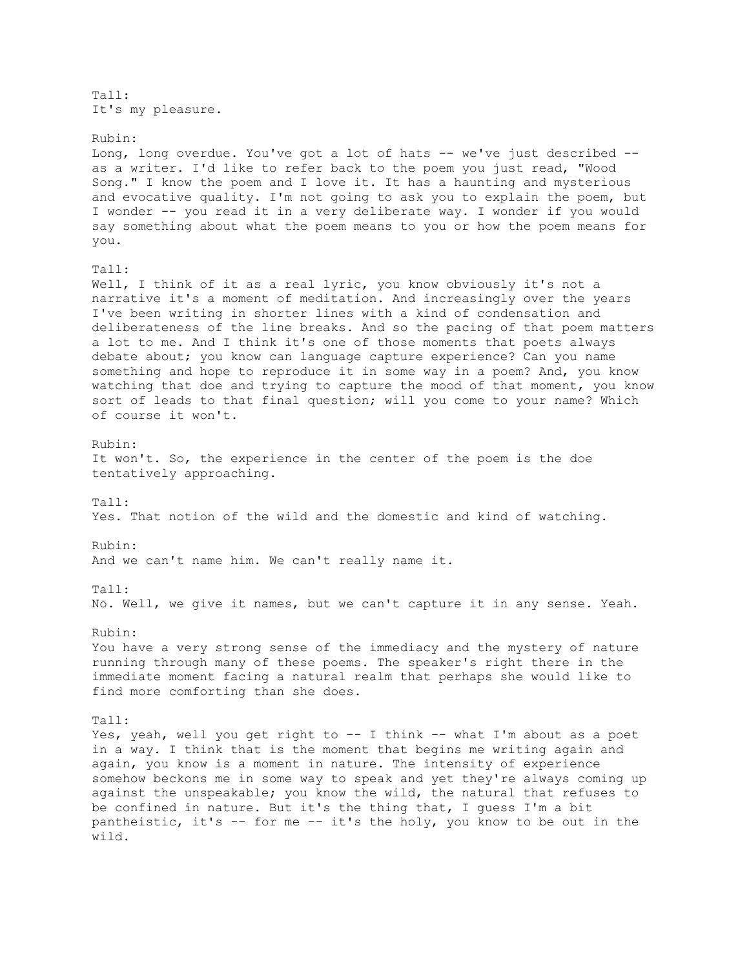Tall: It's my pleasure.

Rubin: Long, long overdue. You've got a lot of hats -- we've just described - as a writer. I'd like to refer back to the poem you just read, "Wood Song." I know the poem and I love it. It has a haunting and mysterious and evocative quality. I'm not going to ask you to explain the poem, but I wonder -- you read it in a very deliberate way. I wonder if you would say something about what the poem means to you or how the poem means for you. Tall: Well, I think of it as a real lyric, you know obviously it's not a narrative it's a moment of meditation. And increasingly over the years I've been writing in shorter lines with a kind of condensation and deliberateness of the line breaks. And so the pacing of that poem matters a lot to me. And I think it's one of those moments that poets always debate about; you know can language capture experience? Can you name something and hope to reproduce it in some way in a poem? And, you know watching that doe and trying to capture the mood of that moment, you know sort of leads to that final question; will you come to your name? Which of course it won't. Rubin: It won't. So, the experience in the center of the poem is the doe tentatively approaching. Tall: Yes. That notion of the wild and the domestic and kind of watching. Rubin: And we can't name him. We can't really name it. Tall: No. Well, we give it names, but we can't capture it in any sense. Yeah. Rubin: You have a very strong sense of the immediacy and the mystery of nature running through many of these poems. The speaker's right there in the immediate moment facing a natural realm that perhaps she would like to find more comforting than she does. Tall: Yes, yeah, well you get right to -- I think -- what I'm about as a poet in a way. I think that is the moment that begins me writing again and again, you know is a moment in nature. The intensity of experience somehow beckons me in some way to speak and yet they're always coming up against the unspeakable; you know the wild, the natural that refuses to be confined in nature. But it's the thing that, I guess I'm a bit pantheistic, it's -- for me -- it's the holy, you know to be out in the wild.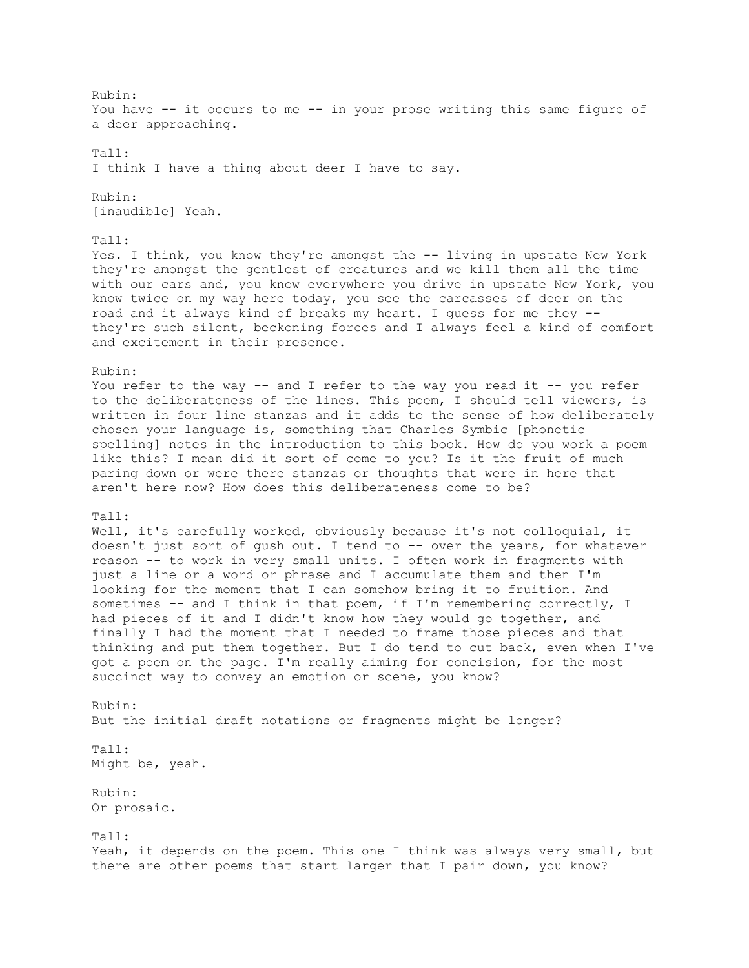Rubin: You have -- it occurs to me -- in your prose writing this same figure of a deer approaching. Tall: I think I have a thing about deer I have to say. Rubin: [inaudible] Yeah. Tall: Yes. I think, you know they're amongst the -- living in upstate New York they're amongst the gentlest of creatures and we kill them all the time with our cars and, you know everywhere you drive in upstate New York, you know twice on my way here today, you see the carcasses of deer on the road and it always kind of breaks my heart. I guess for me they - they're such silent, beckoning forces and I always feel a kind of comfort and excitement in their presence. Rubin: You refer to the way -- and I refer to the way you read it -- you refer to the deliberateness of the lines. This poem, I should tell viewers, is written in four line stanzas and it adds to the sense of how deliberately chosen your language is, something that Charles Symbic [phonetic spelling] notes in the introduction to this book. How do you work a poem like this? I mean did it sort of come to you? Is it the fruit of much paring down or were there stanzas or thoughts that were in here that aren't here now? How does this deliberateness come to be? Tall: Well, it's carefully worked, obviously because it's not colloquial, it doesn't just sort of gush out. I tend to -- over the years, for whatever reason -- to work in very small units. I often work in fragments with just a line or a word or phrase and I accumulate them and then I'm looking for the moment that I can somehow bring it to fruition. And sometimes -- and I think in that poem, if I'm remembering correctly, I had pieces of it and I didn't know how they would go together, and finally I had the moment that I needed to frame those pieces and that thinking and put them together. But I do tend to cut back, even when I've got a poem on the page. I'm really aiming for concision, for the most succinct way to convey an emotion or scene, you know? Rubin: But the initial draft notations or fragments might be longer? Tall: Might be, yeah. Rubin: Or prosaic. Tall: Yeah, it depends on the poem. This one I think was always very small, but there are other poems that start larger that I pair down, you know?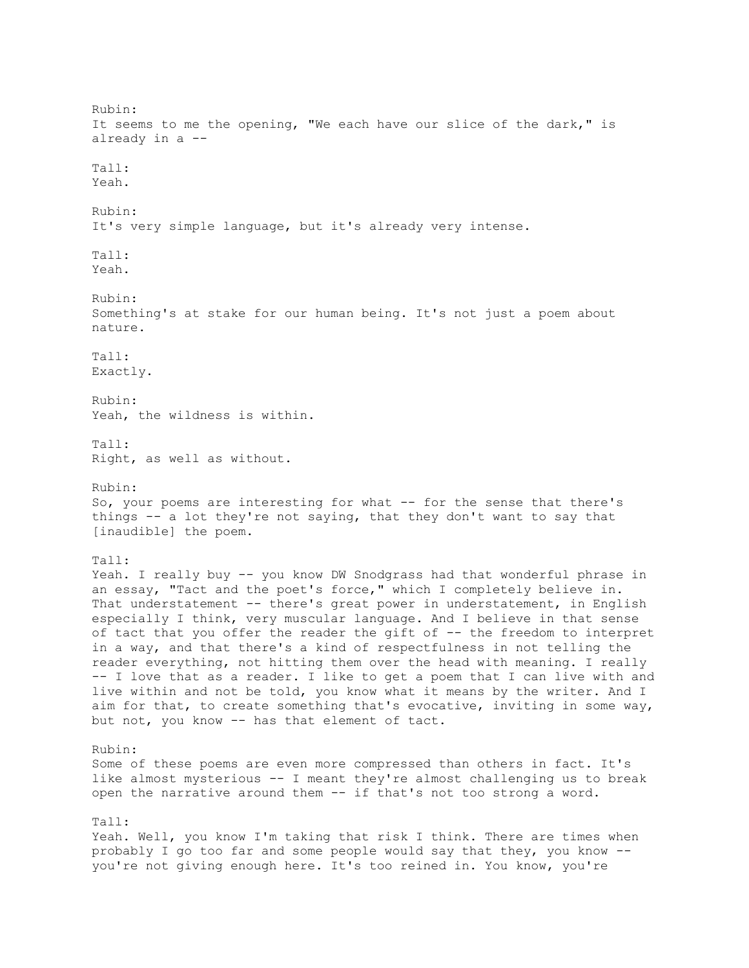Rubin: It seems to me the opening, "We each have our slice of the dark," is already in a -- Tall: Yeah. Rubin: It's very simple language, but it's already very intense. Tall: Yeah. Rubin: Something's at stake for our human being. It's not just a poem about nature. Tall: Exactly. Rubin: Yeah, the wildness is within. Tall: Right, as well as without. Rubin: So, your poems are interesting for what -- for the sense that there's things -- a lot they're not saying, that they don't want to say that [inaudible] the poem. Tall: Yeah. I really buy -- you know DW Snodgrass had that wonderful phrase in an essay, "Tact and the poet's force," which I completely believe in. That understatement -- there's great power in understatement, in English especially I think, very muscular language. And I believe in that sense of tact that you offer the reader the gift of -- the freedom to interpret in a way, and that there's a kind of respectfulness in not telling the reader everything, not hitting them over the head with meaning. I really -- I love that as a reader. I like to get a poem that I can live with and live within and not be told, you know what it means by the writer. And I aim for that, to create something that's evocative, inviting in some way, but not, you know -- has that element of tact. Rubin: Some of these poems are even more compressed than others in fact. It's like almost mysterious -- I meant they're almost challenging us to break open the narrative around them -- if that's not too strong a word. Tall: Yeah. Well, you know I'm taking that risk I think. There are times when probably I go too far and some people would say that they, you know - you're not giving enough here. It's too reined in. You know, you're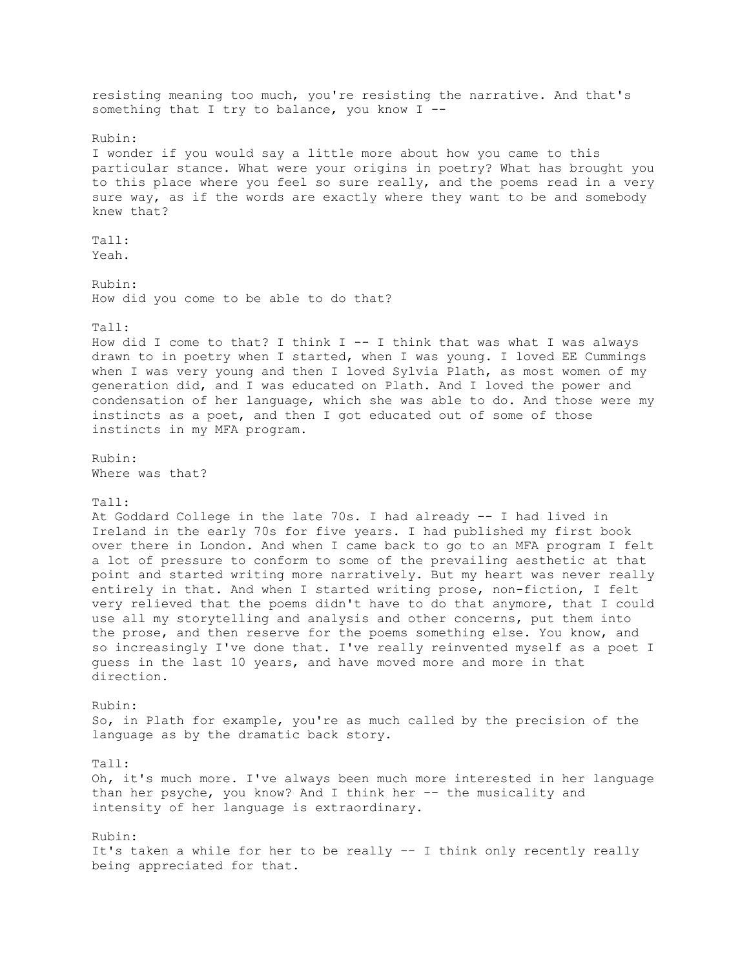resisting meaning too much, you're resisting the narrative. And that's something that I try to balance, you know  $I$  --Rubin: I wonder if you would say a little more about how you came to this particular stance. What were your origins in poetry? What has brought you to this place where you feel so sure really, and the poems read in a very sure way, as if the words are exactly where they want to be and somebody knew that? Tall: Yeah. Rubin: How did you come to be able to do that? Tall: How did I come to that? I think  $I$  -- I think that was what I was always drawn to in poetry when I started, when I was young. I loved EE Cummings when I was very young and then I loved Sylvia Plath, as most women of my generation did, and I was educated on Plath. And I loved the power and condensation of her language, which she was able to do. And those were my instincts as a poet, and then I got educated out of some of those instincts in my MFA program. Rubin: Where was that? Tall: At Goddard College in the late 70s. I had already -- I had lived in Ireland in the early 70s for five years. I had published my first book over there in London. And when I came back to go to an MFA program I felt a lot of pressure to conform to some of the prevailing aesthetic at that point and started writing more narratively. But my heart was never really entirely in that. And when I started writing prose, non-fiction, I felt very relieved that the poems didn't have to do that anymore, that I could use all my storytelling and analysis and other concerns, put them into the prose, and then reserve for the poems something else. You know, and so increasingly I've done that. I've really reinvented myself as a poet I guess in the last 10 years, and have moved more and more in that direction. Rubin: So, in Plath for example, you're as much called by the precision of the language as by the dramatic back story. Tall: Oh, it's much more. I've always been much more interested in her language than her psyche, you know? And I think her -- the musicality and intensity of her language is extraordinary. Rubin: It's taken a while for her to be really -- I think only recently really being appreciated for that.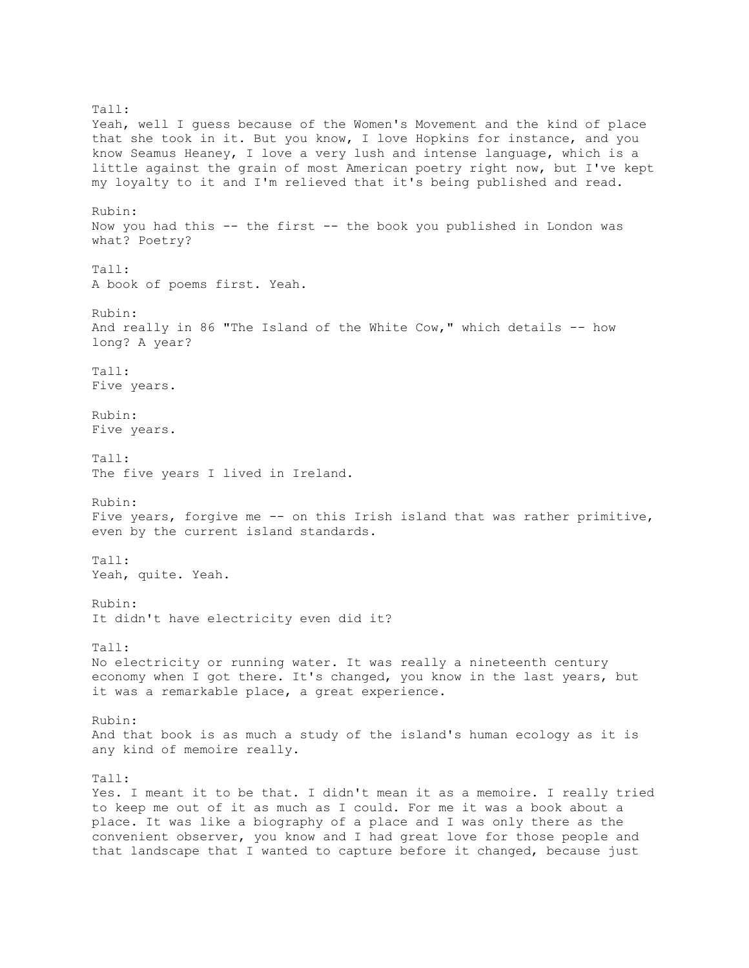Tall: Yeah, well I guess because of the Women's Movement and the kind of place that she took in it. But you know, I love Hopkins for instance, and you know Seamus Heaney, I love a very lush and intense language, which is a little against the grain of most American poetry right now, but I've kept my loyalty to it and I'm relieved that it's being published and read. Rubin: Now you had this -- the first -- the book you published in London was what? Poetry? Tall: A book of poems first. Yeah. Rubin: And really in 86 "The Island of the White Cow," which details -- how long? A year? Tall: Five years. Rubin: Five years. Tall: The five years I lived in Ireland. Rubin: Five years, forgive me -- on this Irish island that was rather primitive, even by the current island standards. Tall: Yeah, quite. Yeah. Rubin: It didn't have electricity even did it? Tall: No electricity or running water. It was really a nineteenth century economy when I got there. It's changed, you know in the last years, but it was a remarkable place, a great experience. Rubin: And that book is as much a study of the island's human ecology as it is any kind of memoire really. Tall: Yes. I meant it to be that. I didn't mean it as a memoire. I really tried to keep me out of it as much as I could. For me it was a book about a place. It was like a biography of a place and I was only there as the convenient observer, you know and I had great love for those people and that landscape that I wanted to capture before it changed, because just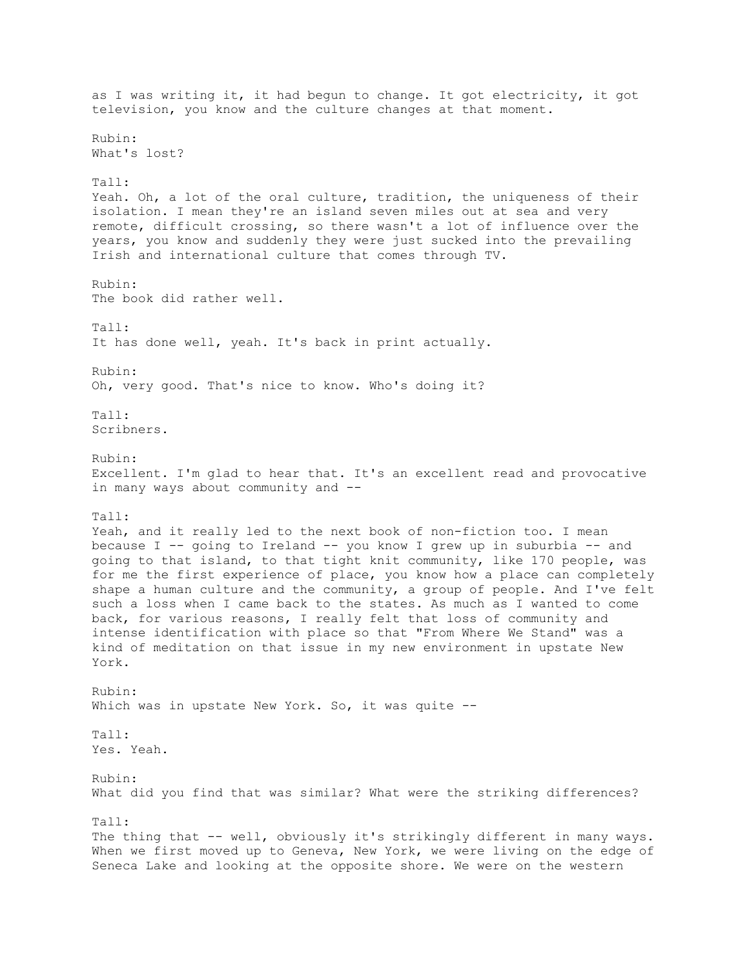as I was writing it, it had begun to change. It got electricity, it got television, you know and the culture changes at that moment. Rubin: What's lost? Tall: Yeah. Oh, a lot of the oral culture, tradition, the uniqueness of their isolation. I mean they're an island seven miles out at sea and very remote, difficult crossing, so there wasn't a lot of influence over the years, you know and suddenly they were just sucked into the prevailing Irish and international culture that comes through TV. Rubin: The book did rather well. Tall: It has done well, yeah. It's back in print actually. Rubin: Oh, very good. That's nice to know. Who's doing it?  $Ta11 \cdot$ Scribners. Rubin: Excellent. I'm glad to hear that. It's an excellent read and provocative in many ways about community and -- Tall: Yeah, and it really led to the next book of non-fiction too. I mean because I -- going to Ireland -- you know I grew up in suburbia -- and going to that island, to that tight knit community, like 170 people, was for me the first experience of place, you know how a place can completely shape a human culture and the community, a group of people. And I've felt such a loss when I came back to the states. As much as I wanted to come back, for various reasons, I really felt that loss of community and intense identification with place so that "From Where We Stand" was a kind of meditation on that issue in my new environment in upstate New York. Rubin: Which was in upstate New York. So, it was quite --Tall: Yes. Yeah. Rubin: What did you find that was similar? What were the striking differences? Tall: The thing that -- well, obviously it's strikingly different in many ways. When we first moved up to Geneva, New York, we were living on the edge of Seneca Lake and looking at the opposite shore. We were on the western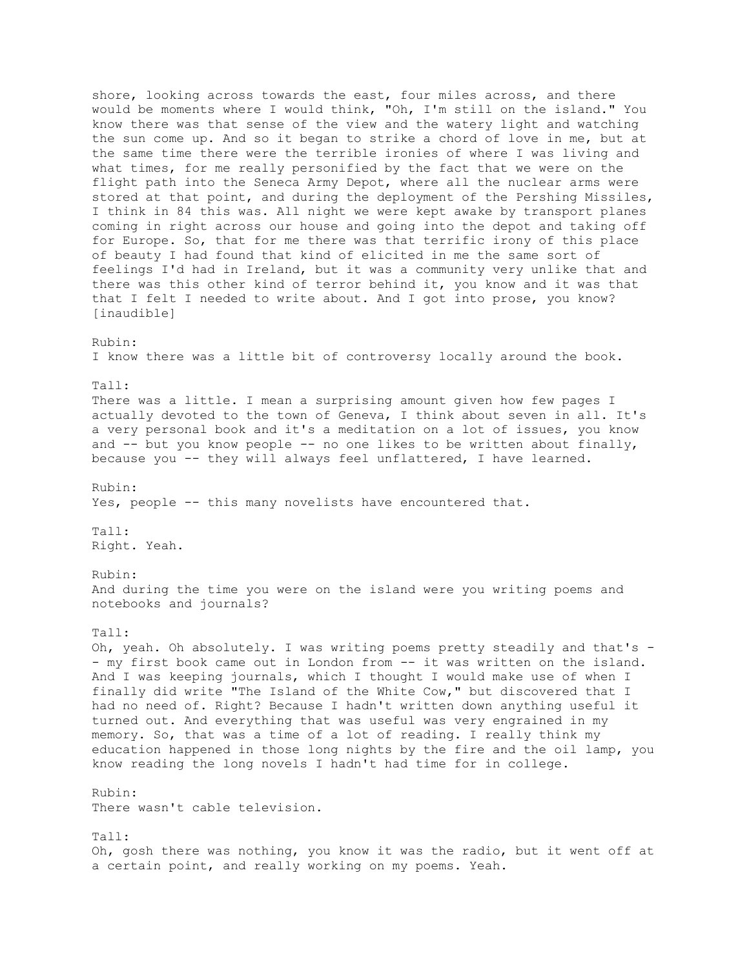shore, looking across towards the east, four miles across, and there would be moments where I would think, "Oh, I'm still on the island." You know there was that sense of the view and the watery light and watching the sun come up. And so it began to strike a chord of love in me, but at the same time there were the terrible ironies of where I was living and what times, for me really personified by the fact that we were on the flight path into the Seneca Army Depot, where all the nuclear arms were stored at that point, and during the deployment of the Pershing Missiles, I think in 84 this was. All night we were kept awake by transport planes coming in right across our house and going into the depot and taking off for Europe. So, that for me there was that terrific irony of this place of beauty I had found that kind of elicited in me the same sort of feelings I'd had in Ireland, but it was a community very unlike that and there was this other kind of terror behind it, you know and it was that that I felt I needed to write about. And I got into prose, you know? [inaudible] Rubin: I know there was a little bit of controversy locally around the book. Tall: There was a little. I mean a surprising amount given how few pages I actually devoted to the town of Geneva, I think about seven in all. It's a very personal book and it's a meditation on a lot of issues, you know and  $-$  but you know people  $-$ - no one likes to be written about finally, because you -- they will always feel unflattered, I have learned. Rubin: Yes, people -- this many novelists have encountered that. Tall: Right. Yeah. Rubin: And during the time you were on the island were you writing poems and notebooks and journals? Tall: Oh, yeah. Oh absolutely. I was writing poems pretty steadily and that's - - my first book came out in London from -- it was written on the island. And I was keeping journals, which I thought I would make use of when I finally did write "The Island of the White Cow," but discovered that I had no need of. Right? Because I hadn't written down anything useful it turned out. And everything that was useful was very engrained in my memory. So, that was a time of a lot of reading. I really think my education happened in those long nights by the fire and the oil lamp, you know reading the long novels I hadn't had time for in college. Rubin: There wasn't cable television. Tall: Oh, gosh there was nothing, you know it was the radio, but it went off at a certain point, and really working on my poems. Yeah.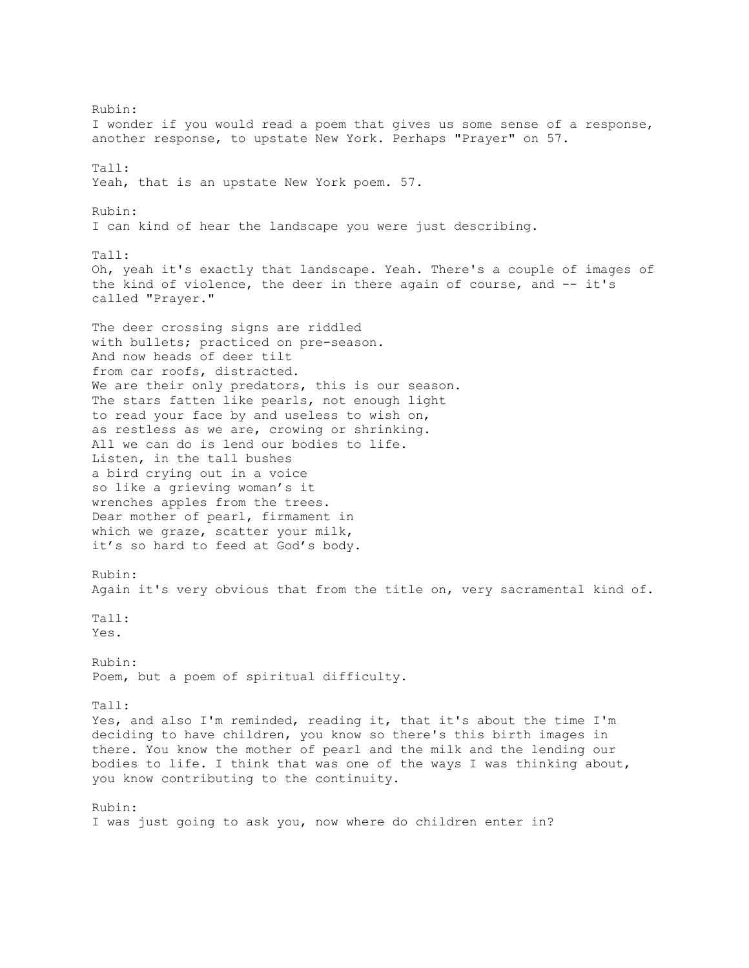Rubin: I wonder if you would read a poem that gives us some sense of a response, another response, to upstate New York. Perhaps "Prayer" on 57. Tall: Yeah, that is an upstate New York poem. 57. Rubin: I can kind of hear the landscape you were just describing.  $Ta11:$ Oh, yeah it's exactly that landscape. Yeah. There's a couple of images of the kind of violence, the deer in there again of course, and -- it's called "Prayer." The deer crossing signs are riddled with bullets; practiced on pre-season. And now heads of deer tilt from car roofs, distracted. We are their only predators, this is our season. The stars fatten like pearls, not enough light to read your face by and useless to wish on, as restless as we are, crowing or shrinking. All we can do is lend our bodies to life. Listen, in the tall bushes a bird crying out in a voice so like a grieving woman's it wrenches apples from the trees. Dear mother of pearl, firmament in which we graze, scatter your milk, it's so hard to feed at God's body. Rubin: Again it's very obvious that from the title on, very sacramental kind of. Tall: Yes. Rubin: Poem, but a poem of spiritual difficulty. Tall: Yes, and also I'm reminded, reading it, that it's about the time I'm deciding to have children, you know so there's this birth images in there. You know the mother of pearl and the milk and the lending our bodies to life. I think that was one of the ways I was thinking about, you know contributing to the continuity. Rubin:

I was just going to ask you, now where do children enter in?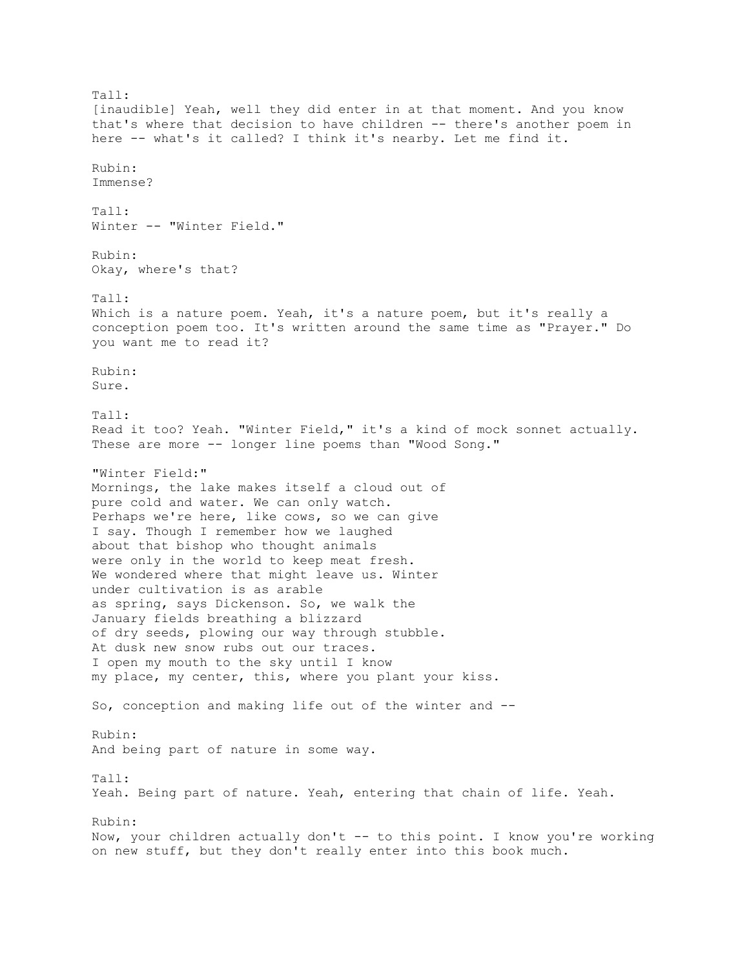Tall: [inaudible] Yeah, well they did enter in at that moment. And you know that's where that decision to have children -- there's another poem in here -- what's it called? I think it's nearby. Let me find it. Rubin: Immense? Tall: Winter -- "Winter Field." Rubin: Okay, where's that? Tall: Which is a nature poem. Yeah, it's a nature poem, but it's really a conception poem too. It's written around the same time as "Prayer." Do you want me to read it? Rubin: Sure. Tall: Read it too? Yeah. "Winter Field," it's a kind of mock sonnet actually. These are more -- longer line poems than "Wood Song." "Winter Field:" Mornings, the lake makes itself a cloud out of pure cold and water. We can only watch. Perhaps we're here, like cows, so we can give I say. Though I remember how we laughed about that bishop who thought animals were only in the world to keep meat fresh. We wondered where that might leave us. Winter under cultivation is as arable as spring, says Dickenson. So, we walk the January fields breathing a blizzard of dry seeds, plowing our way through stubble. At dusk new snow rubs out our traces. I open my mouth to the sky until I know my place, my center, this, where you plant your kiss. So, conception and making life out of the winter and -- Rubin: And being part of nature in some way. Tall: Yeah. Being part of nature. Yeah, entering that chain of life. Yeah. Rubin: Now, your children actually don't -- to this point. I know you're working on new stuff, but they don't really enter into this book much.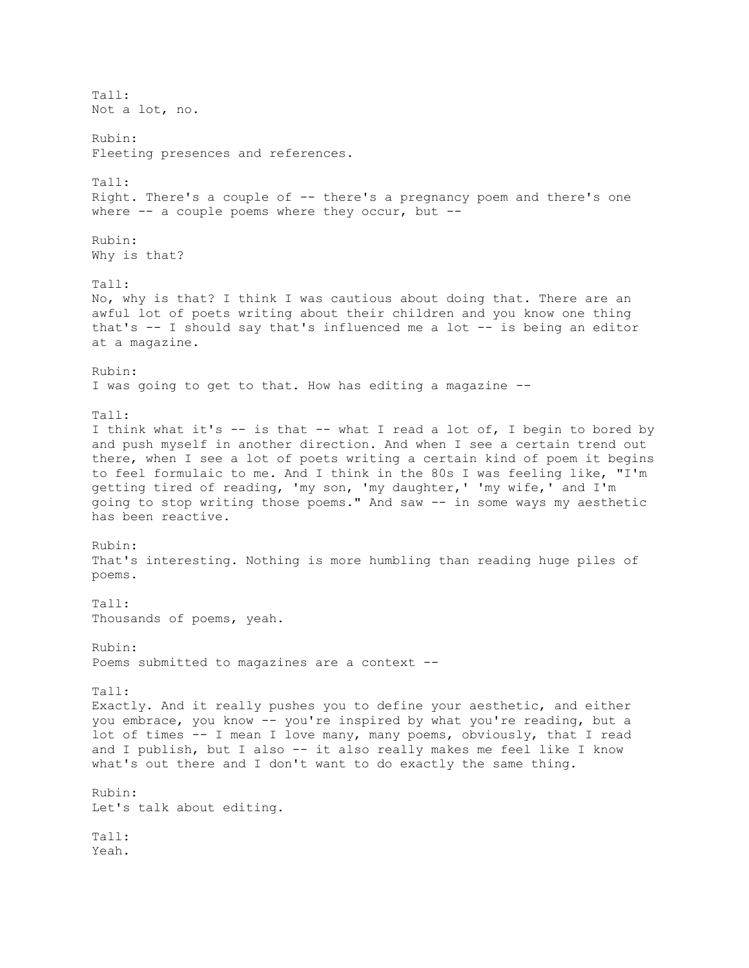Tall: Not a lot, no. Rubin: Fleeting presences and references. Tall: Right. There's a couple of -- there's a pregnancy poem and there's one where  $--$  a couple poems where they occur, but  $--$ Rubin: Why is that? Tall: No, why is that? I think I was cautious about doing that. There are an awful lot of poets writing about their children and you know one thing that's -- I should say that's influenced me a lot -- is being an editor at a magazine. Rubin: I was going to get to that. How has editing a magazine -- Tall: I think what it's -- is that -- what I read a lot of, I begin to bored by and push myself in another direction. And when I see a certain trend out there, when I see a lot of poets writing a certain kind of poem it begins to feel formulaic to me. And I think in the 80s I was feeling like, "I'm getting tired of reading, 'my son, 'my daughter,' 'my wife,' and I'm going to stop writing those poems." And saw -- in some ways my aesthetic has been reactive. Rubin: That's interesting. Nothing is more humbling than reading huge piles of poems. Tall: Thousands of poems, yeah. Rubin: Poems submitted to magazines are a context -- Tall: Exactly. And it really pushes you to define your aesthetic, and either you embrace, you know -- you're inspired by what you're reading, but a lot of times -- I mean I love many, many poems, obviously, that I read and I publish, but I also -- it also really makes me feel like I know what's out there and I don't want to do exactly the same thing. Rubin: Let's talk about editing. Tall: Yeah.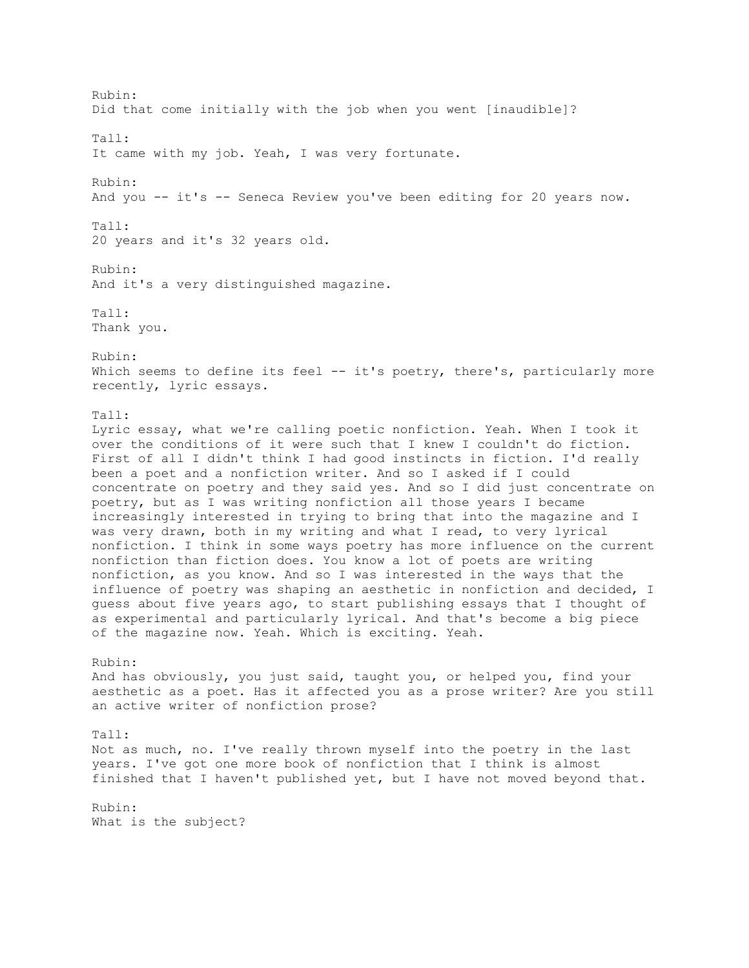Rubin: Did that come initially with the job when you went [inaudible]? Tall: It came with my job. Yeah, I was very fortunate. Rubin: And you -- it's -- Seneca Review you've been editing for 20 years now. Tall: 20 years and it's 32 years old. Rubin: And it's a very distinguished magazine. Tall: Thank you. Rubin: Which seems to define its feel -- it's poetry, there's, particularly more recently, lyric essays. Tall: Lyric essay, what we're calling poetic nonfiction. Yeah. When I took it over the conditions of it were such that I knew I couldn't do fiction. First of all I didn't think I had good instincts in fiction. I'd really been a poet and a nonfiction writer. And so I asked if I could concentrate on poetry and they said yes. And so I did just concentrate on poetry, but as I was writing nonfiction all those years I became increasingly interested in trying to bring that into the magazine and I was very drawn, both in my writing and what I read, to very lyrical nonfiction. I think in some ways poetry has more influence on the current nonfiction than fiction does. You know a lot of poets are writing nonfiction, as you know. And so I was interested in the ways that the influence of poetry was shaping an aesthetic in nonfiction and decided, I guess about five years ago, to start publishing essays that I thought of as experimental and particularly lyrical. And that's become a big piece of the magazine now. Yeah. Which is exciting. Yeah. Rubin: And has obviously, you just said, taught you, or helped you, find your aesthetic as a poet. Has it affected you as a prose writer? Are you still an active writer of nonfiction prose? Tall: Not as much, no. I've really thrown myself into the poetry in the last years. I've got one more book of nonfiction that I think is almost finished that I haven't published yet, but I have not moved beyond that. Rubin: What is the subject?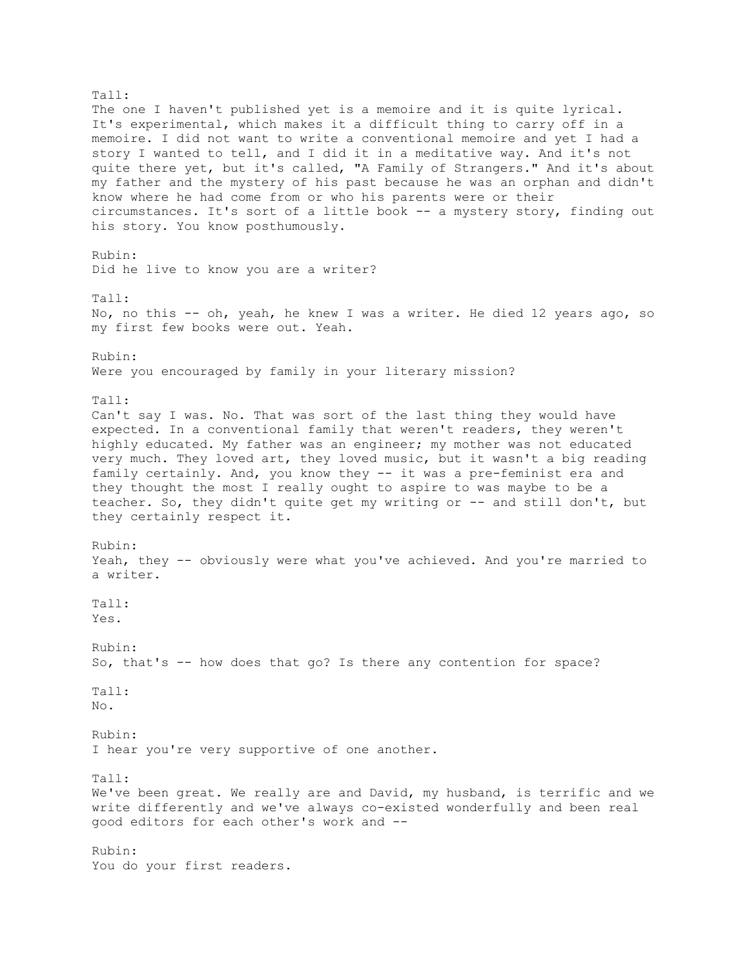Tall: The one I haven't published yet is a memoire and it is quite lyrical. It's experimental, which makes it a difficult thing to carry off in a memoire. I did not want to write a conventional memoire and yet I had a story I wanted to tell, and I did it in a meditative way. And it's not quite there yet, but it's called, "A Family of Strangers." And it's about my father and the mystery of his past because he was an orphan and didn't know where he had come from or who his parents were or their circumstances. It's sort of a little book -- a mystery story, finding out his story. You know posthumously. Rubin: Did he live to know you are a writer? Tall: No, no this -- oh, yeah, he knew I was a writer. He died 12 years ago, so my first few books were out. Yeah. Rubin: Were you encouraged by family in your literary mission? Tall: Can't say I was. No. That was sort of the last thing they would have expected. In a conventional family that weren't readers, they weren't highly educated. My father was an engineer; my mother was not educated very much. They loved art, they loved music, but it wasn't a big reading family certainly. And, you know they -- it was a pre-feminist era and they thought the most I really ought to aspire to was maybe to be a teacher. So, they didn't quite get my writing or -- and still don't, but they certainly respect it. Rubin: Yeah, they -- obviously were what you've achieved. And you're married to a writer. Tall: Yes. Rubin: So, that's -- how does that go? Is there any contention for space?  $Ta11:$ No. Rubin: I hear you're very supportive of one another. Tall: We've been great. We really are and David, my husband, is terrific and we write differently and we've always co-existed wonderfully and been real good editors for each other's work and -- Rubin: You do your first readers.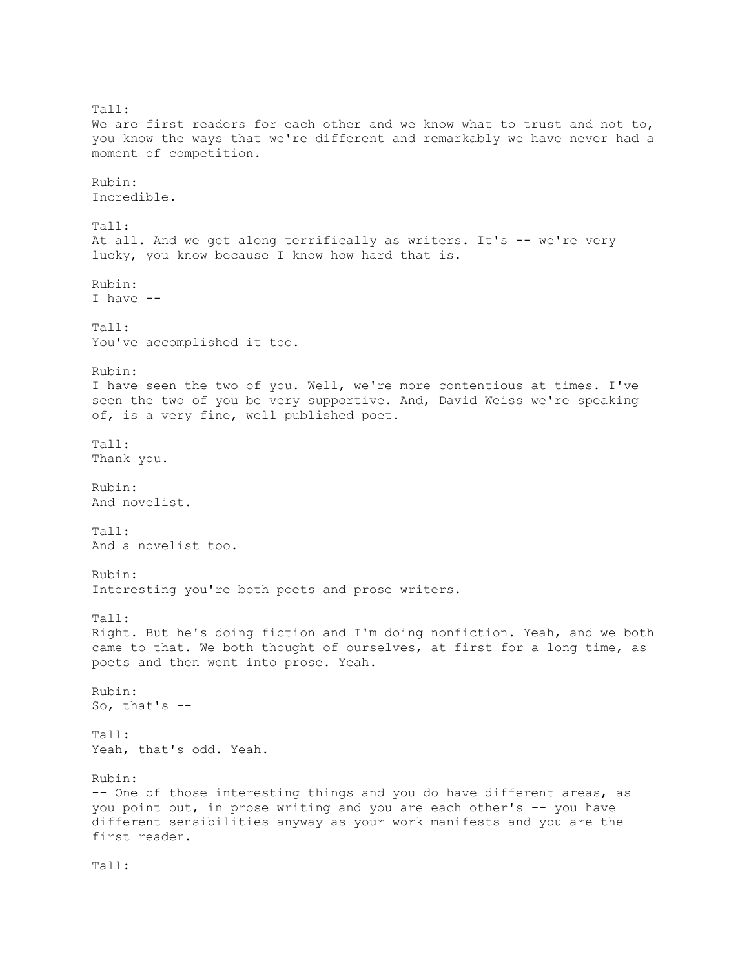Tall: We are first readers for each other and we know what to trust and not to, you know the ways that we're different and remarkably we have never had a moment of competition. Rubin: Incredible. Tall: At all. And we get along terrifically as writers. It's -- we're very lucky, you know because I know how hard that is. Rubin: I have -- Tall: You've accomplished it too. Rubin: I have seen the two of you. Well, we're more contentious at times. I've seen the two of you be very supportive. And, David Weiss we're speaking of, is a very fine, well published poet. Tall: Thank you. Rubin: And novelist. Tall: And a novelist too. Rubin: Interesting you're both poets and prose writers. Tall: Right. But he's doing fiction and I'm doing nonfiction. Yeah, and we both came to that. We both thought of ourselves, at first for a long time, as poets and then went into prose. Yeah. Rubin: So, that's -- Tall: Yeah, that's odd. Yeah. Rubin: -- One of those interesting things and you do have different areas, as you point out, in prose writing and you are each other's -- you have different sensibilities anyway as your work manifests and you are the first reader.

Tall: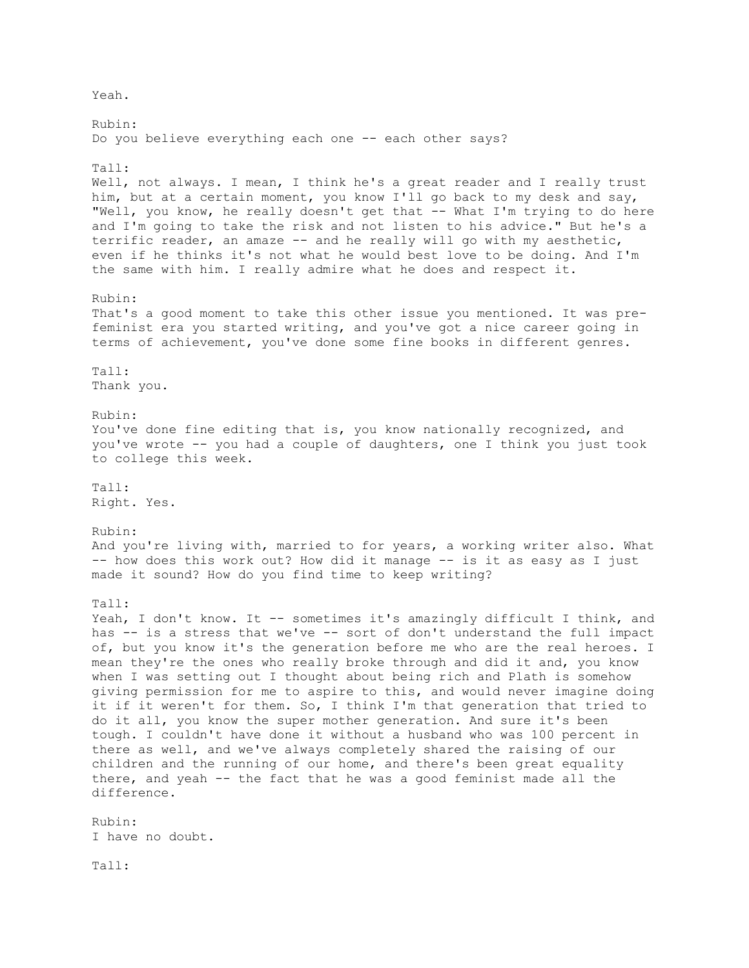Yeah. Rubin: Do you believe everything each one -- each other says? Tall: Well, not always. I mean, I think he's a great reader and I really trust him, but at a certain moment, you know I'll go back to my desk and say, "Well, you know, he really doesn't get that -- What I'm trying to do here and I'm going to take the risk and not listen to his advice." But he's a terrific reader, an amaze -- and he really will go with my aesthetic, even if he thinks it's not what he would best love to be doing. And I'm the same with him. I really admire what he does and respect it. Rubin: That's a good moment to take this other issue you mentioned. It was prefeminist era you started writing, and you've got a nice career going in terms of achievement, you've done some fine books in different genres. Tall: Thank you. Rubin: You've done fine editing that is, you know nationally recognized, and you've wrote -- you had a couple of daughters, one I think you just took to college this week. Tall: Right. Yes. Rubin: And you're living with, married to for years, a working writer also. What -- how does this work out? How did it manage -- is it as easy as I just made it sound? How do you find time to keep writing? Tall: Yeah, I don't know. It -- sometimes it's amazingly difficult I think, and has -- is a stress that we've -- sort of don't understand the full impact of, but you know it's the generation before me who are the real heroes. I mean they're the ones who really broke through and did it and, you know when I was setting out I thought about being rich and Plath is somehow giving permission for me to aspire to this, and would never imagine doing it if it weren't for them. So, I think I'm that generation that tried to do it all, you know the super mother generation. And sure it's been tough. I couldn't have done it without a husband who was 100 percent in there as well, and we've always completely shared the raising of our children and the running of our home, and there's been great equality there, and yeah -- the fact that he was a good feminist made all the difference. Rubin: I have no doubt. Tall: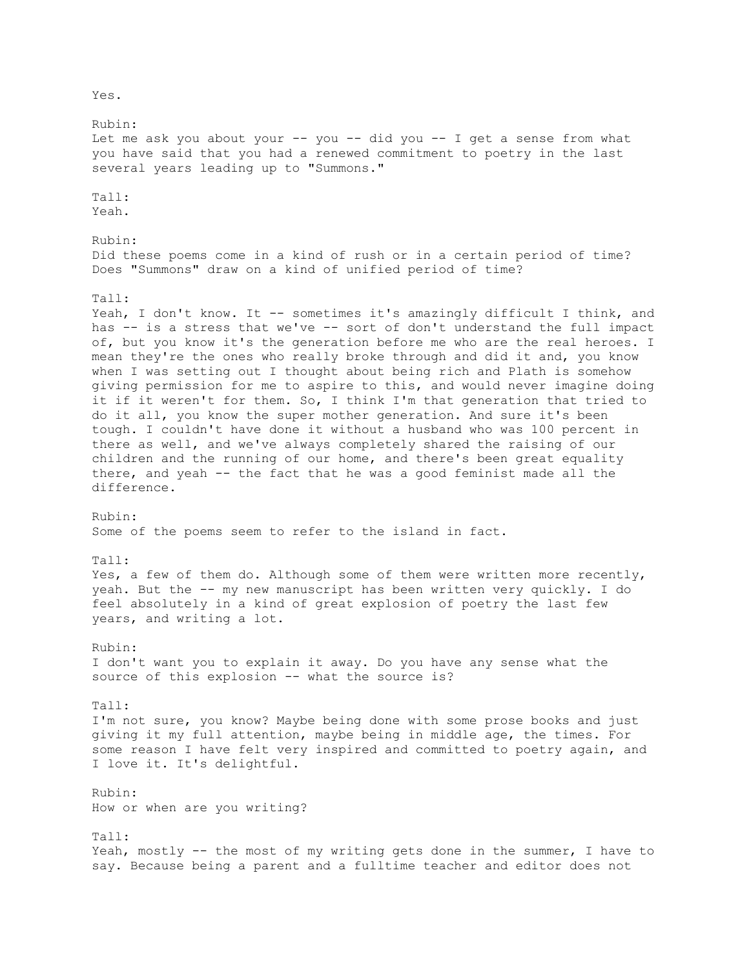Rubin: Let me ask you about your -- you -- did you -- I get a sense from what you have said that you had a renewed commitment to poetry in the last several years leading up to "Summons." Tall: Yeah. Rubin: Did these poems come in a kind of rush or in a certain period of time? Does "Summons" draw on a kind of unified period of time? Tall: Yeah, I don't know. It -- sometimes it's amazingly difficult I think, and has -- is a stress that we've -- sort of don't understand the full impact of, but you know it's the generation before me who are the real heroes. I mean they're the ones who really broke through and did it and, you know when I was setting out I thought about being rich and Plath is somehow giving permission for me to aspire to this, and would never imagine doing it if it weren't for them. So, I think I'm that generation that tried to do it all, you know the super mother generation. And sure it's been tough. I couldn't have done it without a husband who was 100 percent in there as well, and we've always completely shared the raising of our children and the running of our home, and there's been great equality there, and yeah -- the fact that he was a good feminist made all the difference. Rubin: Some of the poems seem to refer to the island in fact. Tall: Yes, a few of them do. Although some of them were written more recently, yeah. But the -- my new manuscript has been written very quickly. I do feel absolutely in a kind of great explosion of poetry the last few years, and writing a lot. Rubin: I don't want you to explain it away. Do you have any sense what the source of this explosion -- what the source is? Tall: I'm not sure, you know? Maybe being done with some prose books and just giving it my full attention, maybe being in middle age, the times. For some reason I have felt very inspired and committed to poetry again, and I love it. It's delightful. Rubin: How or when are you writing? Tall: Yeah, mostly -- the most of my writing gets done in the summer, I have to say. Because being a parent and a fulltime teacher and editor does not

Yes.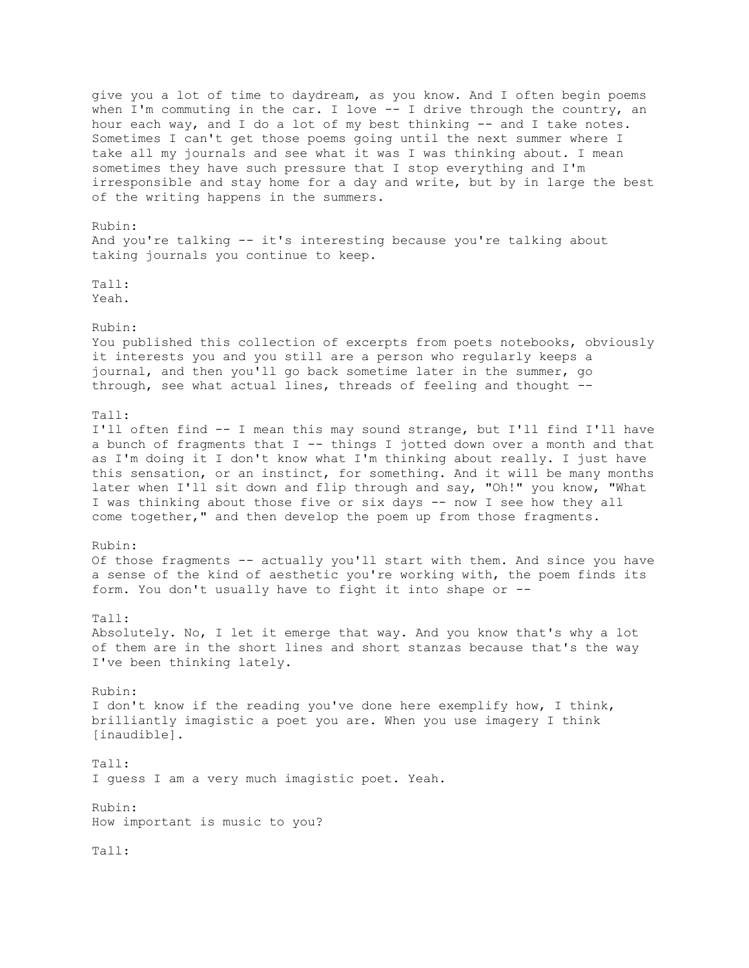give you a lot of time to daydream, as you know. And I often begin poems when I'm commuting in the car. I love -- I drive through the country, an hour each way, and I do a lot of my best thinking -- and I take notes. Sometimes I can't get those poems going until the next summer where I take all my journals and see what it was I was thinking about. I mean sometimes they have such pressure that I stop everything and I'm irresponsible and stay home for a day and write, but by in large the best of the writing happens in the summers. Rubin: And you're talking -- it's interesting because you're talking about taking journals you continue to keep. Tall: Yeah. Rubin: You published this collection of excerpts from poets notebooks, obviously it interests you and you still are a person who regularly keeps a journal, and then you'll go back sometime later in the summer, go through, see what actual lines, threads of feeling and thought -- Tall: I'll often find -- I mean this may sound strange, but I'll find I'll have a bunch of fragments that I -- things I jotted down over a month and that as I'm doing it I don't know what I'm thinking about really. I just have this sensation, or an instinct, for something. And it will be many months later when I'll sit down and flip through and say, "Oh!" you know, "What I was thinking about those five or six days -- now I see how they all come together," and then develop the poem up from those fragments. Rubin: Of those fragments -- actually you'll start with them. And since you have a sense of the kind of aesthetic you're working with, the poem finds its form. You don't usually have to fight it into shape or -- Tall: Absolutely. No, I let it emerge that way. And you know that's why a lot of them are in the short lines and short stanzas because that's the way I've been thinking lately. Rubin: I don't know if the reading you've done here exemplify how, I think, brilliantly imagistic a poet you are. When you use imagery I think [inaudible]. Tall: I guess I am a very much imagistic poet. Yeah. Rubin: How important is music to you? Tall: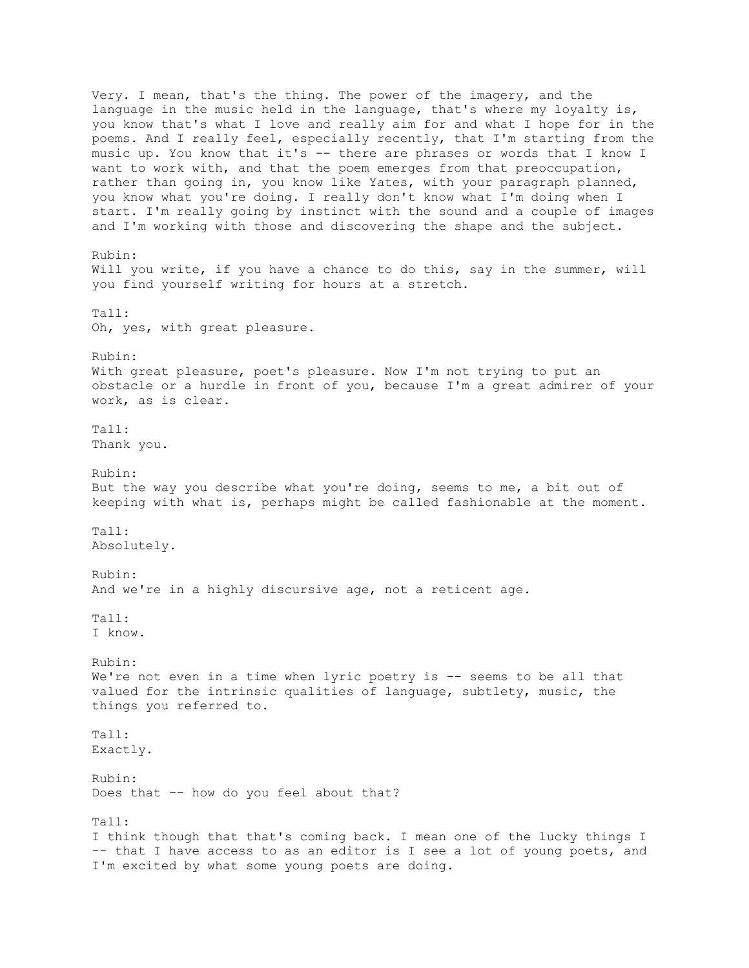Very. I mean, that's the thing. The power of the imagery, and the language in the music held in the language, that's where my loyalty is, you know that's what I love and really aim for and what I hope for in the poems. And I really feel, especially recently, that I'm starting from the music up. You know that it's -- there are phrases or words that I know I want to work with, and that the poem emerges from that preoccupation, rather than going in, you know like Yates, with your paragraph planned, you know what you're doing. I really don't know what I'm doing when I start. I'm really going by instinct with the sound and a couple of images and I'm working with those and discovering the shape and the subject. Rubin: Will you write, if you have a chance to do this, say in the summer, will you find yourself writing for hours at a stretch. Tall: Oh, yes, with great pleasure. Rubin: With great pleasure, poet's pleasure. Now I'm not trying to put an obstacle or a hurdle in front of you, because I'm a great admirer of your work, as is clear. Tall: Thank you. Rubin: But the way you describe what you're doing, seems to me, a bit out of keeping with what is, perhaps might be called fashionable at the moment. Tall: Absolutely. Rubin: And we're in a highly discursive age, not a reticent age. Tall: I know. Rubin: We're not even in a time when lyric poetry is -- seems to be all that valued for the intrinsic qualities of language, subtlety, music, the things you referred to. Tall: Exactly. Rubin: Does that -- how do you feel about that? Tall: I think though that that's coming back. I mean one of the lucky things I -- that I have access to as an editor is I see a lot of young poets, and

I'm excited by what some young poets are doing.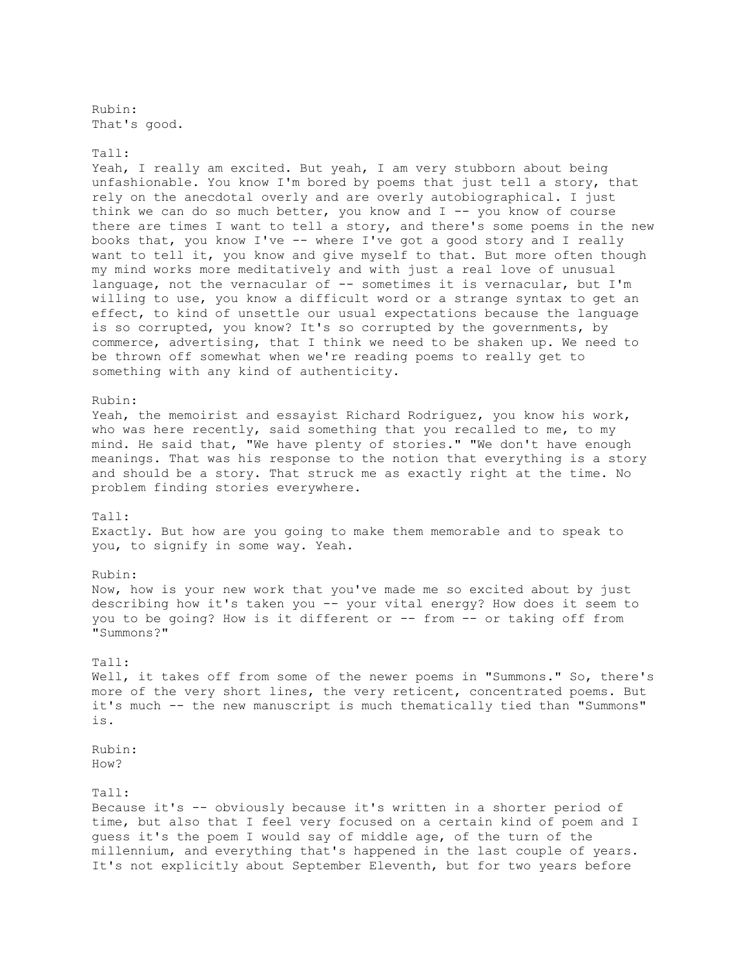Rubin: That's good.

# Tall:

Yeah, I really am excited. But yeah, I am very stubborn about being unfashionable. You know I'm bored by poems that just tell a story, that rely on the anecdotal overly and are overly autobiographical. I just think we can do so much better, you know and  $I$  -- you know of course there are times I want to tell a story, and there's some poems in the new books that, you know I've -- where I've got a good story and I really want to tell it, you know and give myself to that. But more often though my mind works more meditatively and with just a real love of unusual language, not the vernacular of -- sometimes it is vernacular, but I'm willing to use, you know a difficult word or a strange syntax to get an effect, to kind of unsettle our usual expectations because the language is so corrupted, you know? It's so corrupted by the governments, by commerce, advertising, that I think we need to be shaken up. We need to be thrown off somewhat when we're reading poems to really get to something with any kind of authenticity.

#### Rubin:

Yeah, the memoirist and essayist Richard Rodriguez, you know his work, who was here recently, said something that you recalled to me, to my mind. He said that, "We have plenty of stories." "We don't have enough meanings. That was his response to the notion that everything is a story and should be a story. That struck me as exactly right at the time. No problem finding stories everywhere.

### Tall:

Exactly. But how are you going to make them memorable and to speak to you, to signify in some way. Yeah.

## Rubin:

Now, how is your new work that you've made me so excited about by just describing how it's taken you -- your vital energy? How does it seem to you to be going? How is it different or -- from -- or taking off from "Summons?"

### Tall:

Well, it takes off from some of the newer poems in "Summons." So, there's more of the very short lines, the very reticent, concentrated poems. But it's much -- the new manuscript is much thematically tied than "Summons" is.

Rubin: How?

### Tall:

Because it's -- obviously because it's written in a shorter period of time, but also that I feel very focused on a certain kind of poem and I guess it's the poem I would say of middle age, of the turn of the millennium, and everything that's happened in the last couple of years. It's not explicitly about September Eleventh, but for two years before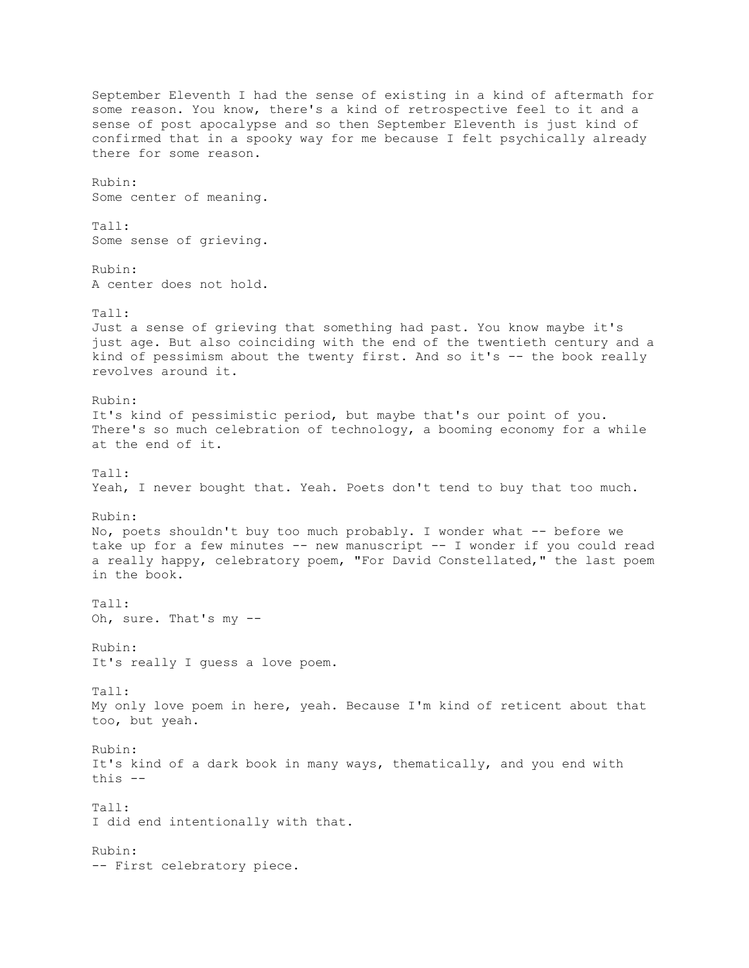September Eleventh I had the sense of existing in a kind of aftermath for some reason. You know, there's a kind of retrospective feel to it and a sense of post apocalypse and so then September Eleventh is just kind of confirmed that in a spooky way for me because I felt psychically already there for some reason. Rubin: Some center of meaning. Tall: Some sense of grieving. Rubin: A center does not hold.  $Ta11 \cdot$ Just a sense of grieving that something had past. You know maybe it's just age. But also coinciding with the end of the twentieth century and a kind of pessimism about the twenty first. And so it's -- the book really revolves around it. Rubin: It's kind of pessimistic period, but maybe that's our point of you. There's so much celebration of technology, a booming economy for a while at the end of it. Tall: Yeah, I never bought that. Yeah. Poets don't tend to buy that too much. Rubin: No, poets shouldn't buy too much probably. I wonder what -- before we take up for a few minutes -- new manuscript -- I wonder if you could read a really happy, celebratory poem, "For David Constellated," the last poem in the book. Tall: Oh, sure. That's my -- Rubin: It's really I guess a love poem.  $Ta11:$ My only love poem in here, yeah. Because I'm kind of reticent about that too, but yeah. Rubin: It's kind of a dark book in many ways, thematically, and you end with this -- Tall: I did end intentionally with that. Rubin: -- First celebratory piece.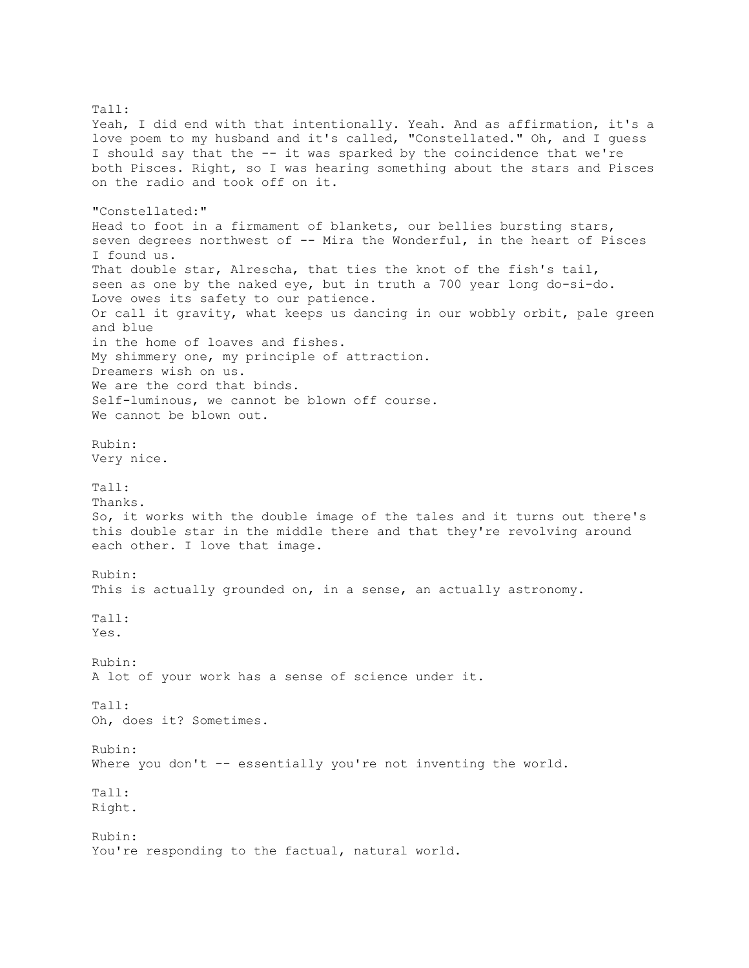Tall: Yeah, I did end with that intentionally. Yeah. And as affirmation, it's a love poem to my husband and it's called, "Constellated." Oh, and I guess I should say that the -- it was sparked by the coincidence that we're both Pisces. Right, so I was hearing something about the stars and Pisces on the radio and took off on it. "Constellated:" Head to foot in a firmament of blankets, our bellies bursting stars, seven degrees northwest of -- Mira the Wonderful, in the heart of Pisces I found us. That double star, Alrescha, that ties the knot of the fish's tail, seen as one by the naked eye, but in truth a 700 year long do-si-do. Love owes its safety to our patience. Or call it gravity, what keeps us dancing in our wobbly orbit, pale green and blue in the home of loaves and fishes. My shimmery one, my principle of attraction. Dreamers wish on us. We are the cord that binds. Self-luminous, we cannot be blown off course. We cannot be blown out. Rubin: Very nice. Tall: Thanks. So, it works with the double image of the tales and it turns out there's this double star in the middle there and that they're revolving around each other. I love that image. Rubin: This is actually grounded on, in a sense, an actually astronomy. Tall: Yes. Rubin: A lot of your work has a sense of science under it. Tall: Oh, does it? Sometimes. Rubin: Where you don't -- essentially you're not inventing the world. Tall: Right. Rubin: You're responding to the factual, natural world.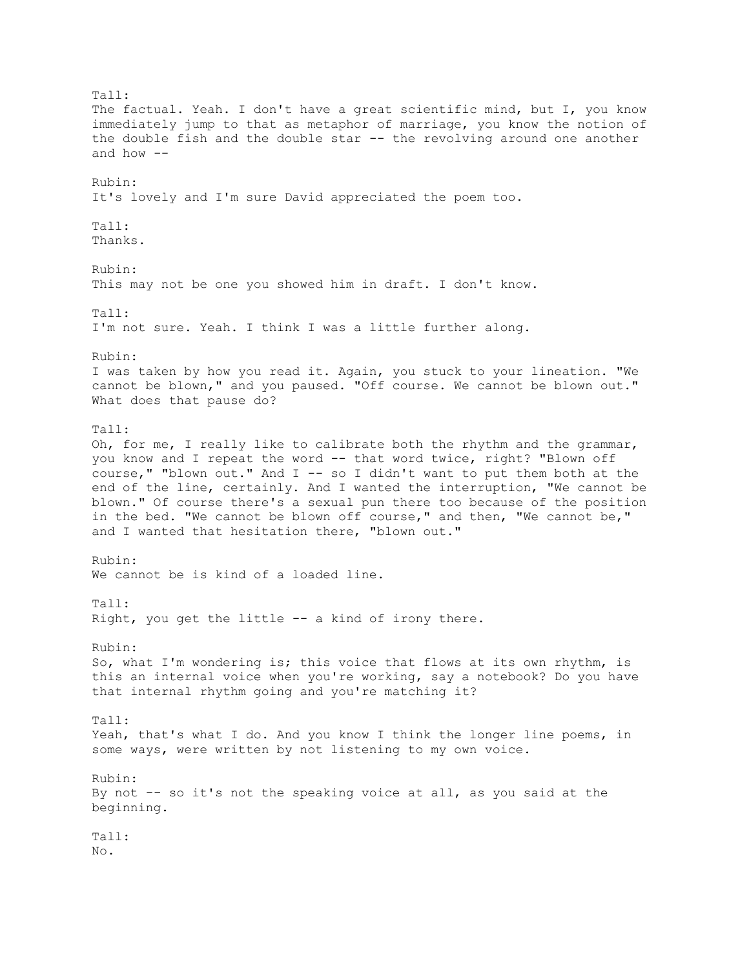Tall: The factual. Yeah. I don't have a great scientific mind, but I, you know immediately jump to that as metaphor of marriage, you know the notion of the double fish and the double star -- the revolving around one another and how  $-$ Rubin: It's lovely and I'm sure David appreciated the poem too. Tall: Thanks. Rubin: This may not be one you showed him in draft. I don't know.  $Ta11 \cdot$ I'm not sure. Yeah. I think I was a little further along. Rubin: I was taken by how you read it. Again, you stuck to your lineation. "We cannot be blown," and you paused. "Off course. We cannot be blown out." What does that pause do? Tall: Oh, for me, I really like to calibrate both the rhythm and the grammar, you know and I repeat the word -- that word twice, right? "Blown off course," "blown out." And  $I$  -- so I didn't want to put them both at the end of the line, certainly. And I wanted the interruption, "We cannot be blown." Of course there's a sexual pun there too because of the position in the bed. "We cannot be blown off course," and then, "We cannot be," and I wanted that hesitation there, "blown out." Rubin: We cannot be is kind of a loaded line. Tall: Right, you get the little -- a kind of irony there. Rubin: So, what I'm wondering is; this voice that flows at its own rhythm, is this an internal voice when you're working, say a notebook? Do you have that internal rhythm going and you're matching it? Tall: Yeah, that's what I do. And you know I think the longer line poems, in some ways, were written by not listening to my own voice. Rubin: By not -- so it's not the speaking voice at all, as you said at the beginning. Tall: No.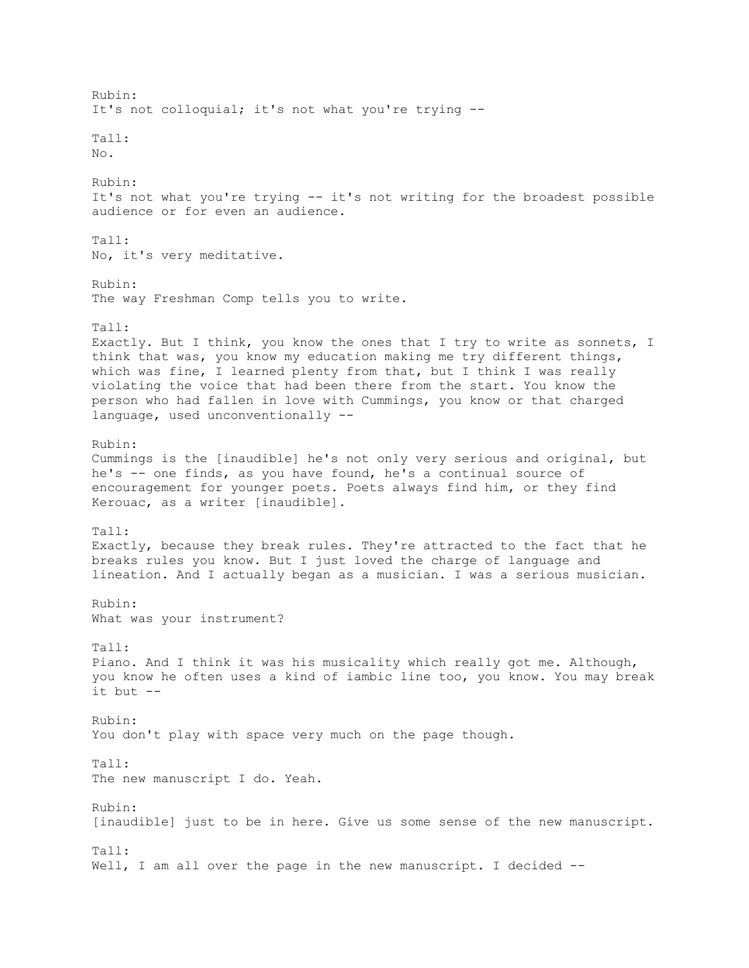Rubin: It's not colloquial; it's not what you're trying -- Tall:  $N<sub>O</sub>$ . Rubin: It's not what you're trying -- it's not writing for the broadest possible audience or for even an audience.  $Ta11:$ No, it's very meditative. Rubin: The way Freshman Comp tells you to write. Tall: Exactly. But I think, you know the ones that I try to write as sonnets, I think that was, you know my education making me try different things, which was fine, I learned plenty from that, but I think I was really violating the voice that had been there from the start. You know the person who had fallen in love with Cummings, you know or that charged language, used unconventionally -- Rubin: Cummings is the [inaudible] he's not only very serious and original, but he's -- one finds, as you have found, he's a continual source of encouragement for younger poets. Poets always find him, or they find Kerouac, as a writer [inaudible]. Tall: Exactly, because they break rules. They're attracted to the fact that he breaks rules you know. But I just loved the charge of language and lineation. And I actually began as a musician. I was a serious musician. Rubin: What was your instrument? Tall: Piano. And I think it was his musicality which really got me. Although, you know he often uses a kind of iambic line too, you know. You may break it but -- Rubin: You don't play with space very much on the page though. Tall: The new manuscript I do. Yeah. Rubin: [inaudible] just to be in here. Give us some sense of the new manuscript. Tall: Well, I am all over the page in the new manuscript. I decided --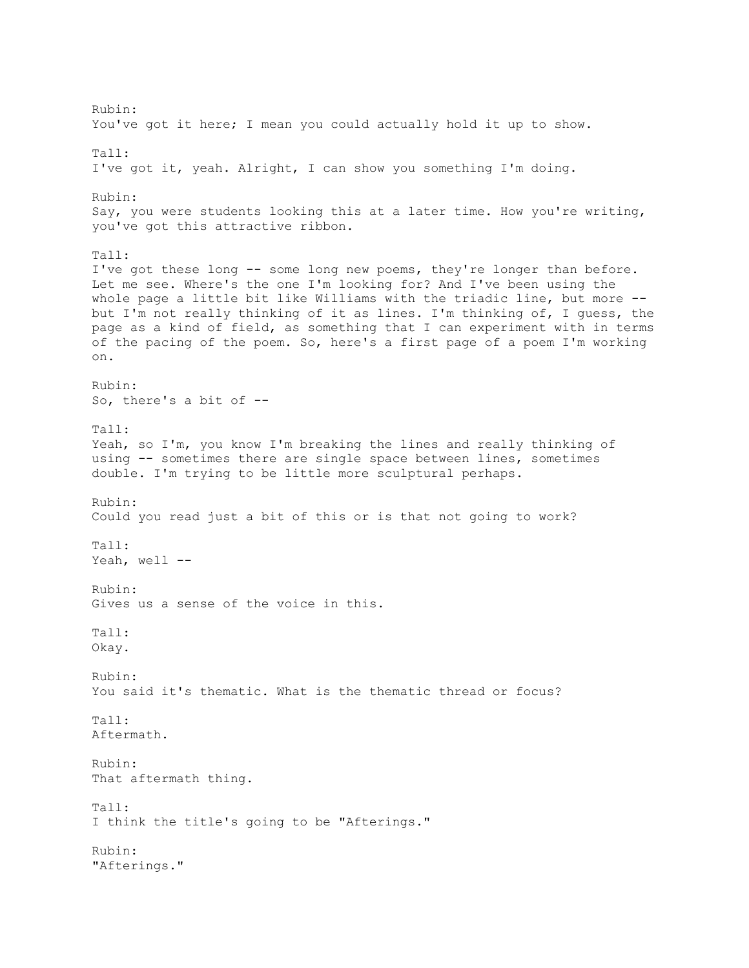Rubin: You've got it here; I mean you could actually hold it up to show. Tall: I've got it, yeah. Alright, I can show you something I'm doing. Rubin: Say, you were students looking this at a later time. How you're writing, you've got this attractive ribbon. Tall: I've got these long -- some long new poems, they're longer than before. Let me see. Where's the one I'm looking for? And I've been using the whole page a little bit like Williams with the triadic line, but more - but I'm not really thinking of it as lines. I'm thinking of, I guess, the page as a kind of field, as something that I can experiment with in terms of the pacing of the poem. So, here's a first page of a poem I'm working on. Rubin: So, there's a bit of -- Tall: Yeah, so I'm, you know I'm breaking the lines and really thinking of using -- sometimes there are single space between lines, sometimes double. I'm trying to be little more sculptural perhaps. Rubin: Could you read just a bit of this or is that not going to work? Tall: Yeah, well --Rubin: Gives us a sense of the voice in this. Tall: Okay. Rubin: You said it's thematic. What is the thematic thread or focus? Tall: Aftermath. Rubin: That aftermath thing. Tall: I think the title's going to be "Afterings." Rubin: "Afterings."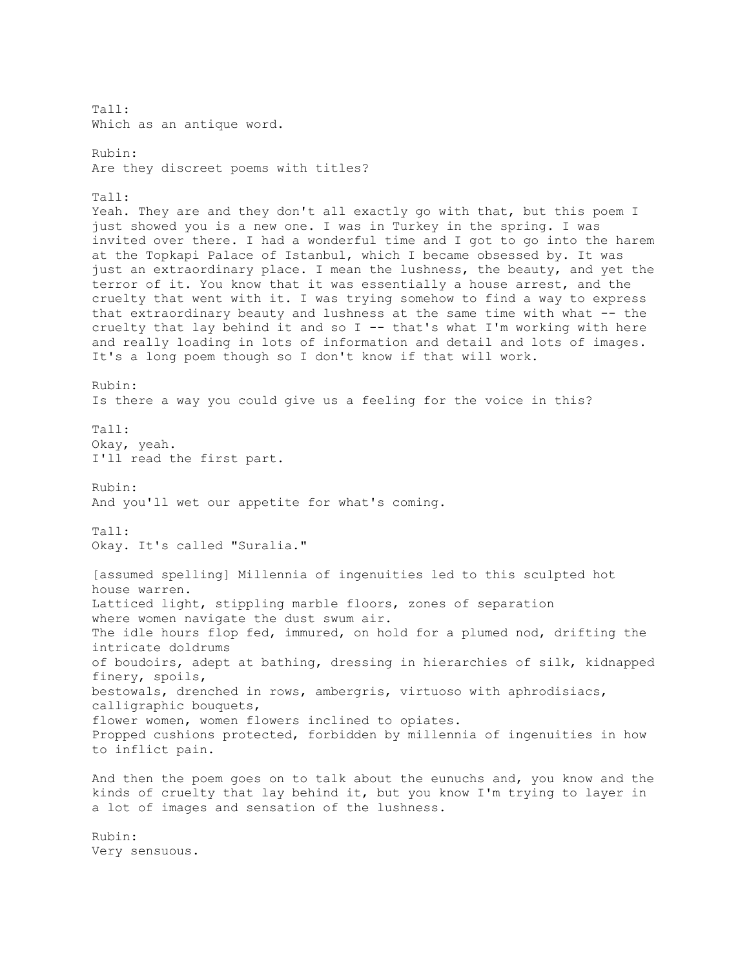Tall: Which as an antique word. Rubin: Are they discreet poems with titles? Tall: Yeah. They are and they don't all exactly go with that, but this poem I just showed you is a new one. I was in Turkey in the spring. I was invited over there. I had a wonderful time and I got to go into the harem at the Topkapi Palace of Istanbul, which I became obsessed by. It was just an extraordinary place. I mean the lushness, the beauty, and yet the terror of it. You know that it was essentially a house arrest, and the cruelty that went with it. I was trying somehow to find a way to express that extraordinary beauty and lushness at the same time with what -- the cruelty that lay behind it and so I -- that's what I'm working with here and really loading in lots of information and detail and lots of images. It's a long poem though so I don't know if that will work. Rubin: Is there a way you could give us a feeling for the voice in this? Tall: Okay, yeah. I'll read the first part. Rubin: And you'll wet our appetite for what's coming. Tall: Okay. It's called "Suralia." [assumed spelling] Millennia of ingenuities led to this sculpted hot house warren. Latticed light, stippling marble floors, zones of separation where women navigate the dust swum air. The idle hours flop fed, immured, on hold for a plumed nod, drifting the intricate doldrums of boudoirs, adept at bathing, dressing in hierarchies of silk, kidnapped finery, spoils, bestowals, drenched in rows, ambergris, virtuoso with aphrodisiacs, calligraphic bouquets, flower women, women flowers inclined to opiates. Propped cushions protected, forbidden by millennia of ingenuities in how to inflict pain. And then the poem goes on to talk about the eunuchs and, you know and the kinds of cruelty that lay behind it, but you know I'm trying to layer in a lot of images and sensation of the lushness. Rubin: Very sensuous.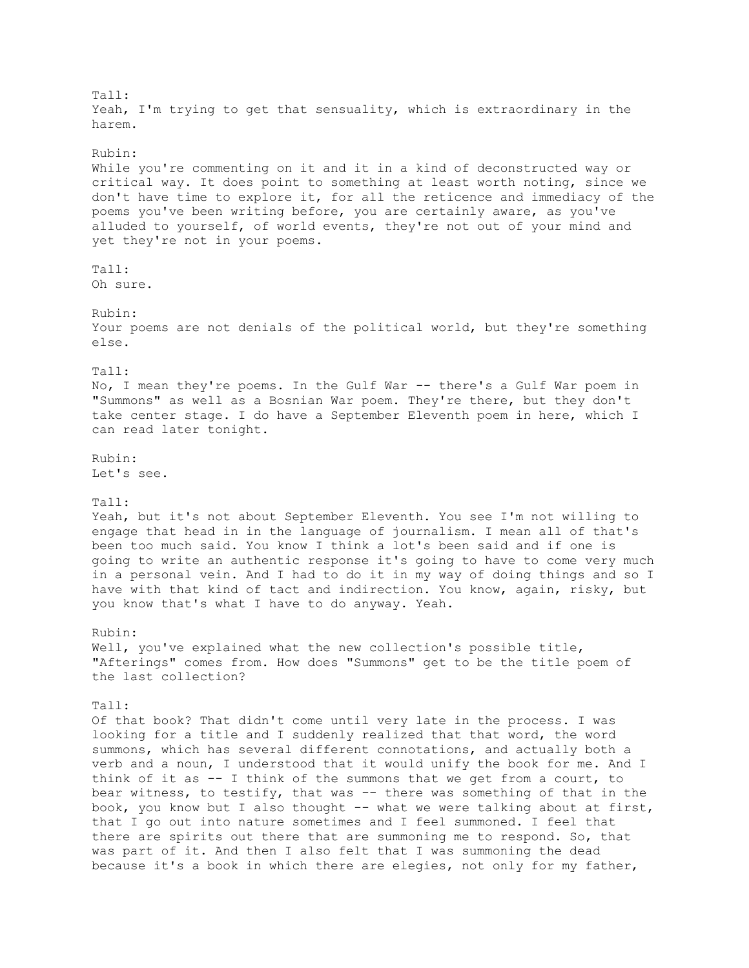Tall: Yeah, I'm trying to get that sensuality, which is extraordinary in the harem. Rubin: While you're commenting on it and it in a kind of deconstructed way or critical way. It does point to something at least worth noting, since we don't have time to explore it, for all the reticence and immediacy of the poems you've been writing before, you are certainly aware, as you've alluded to yourself, of world events, they're not out of your mind and yet they're not in your poems. Tall: Oh sure. Rubin: Your poems are not denials of the political world, but they're something else. Tall: No, I mean they're poems. In the Gulf War -- there's a Gulf War poem in "Summons" as well as a Bosnian War poem. They're there, but they don't take center stage. I do have a September Eleventh poem in here, which I can read later tonight. Rubin: Let's see. Tall: Yeah, but it's not about September Eleventh. You see I'm not willing to engage that head in in the language of journalism. I mean all of that's been too much said. You know I think a lot's been said and if one is going to write an authentic response it's going to have to come very much in a personal vein. And I had to do it in my way of doing things and so I have with that kind of tact and indirection. You know, again, risky, but you know that's what I have to do anyway. Yeah. Rubin: Well, you've explained what the new collection's possible title, "Afterings" comes from. How does "Summons" get to be the title poem of the last collection? Tall: Of that book? That didn't come until very late in the process. I was looking for a title and I suddenly realized that that word, the word summons, which has several different connotations, and actually both a verb and a noun, I understood that it would unify the book for me. And I think of it as -- I think of the summons that we get from a court, to bear witness, to testify, that was -- there was something of that in the book, you know but I also thought -- what we were talking about at first, that I go out into nature sometimes and I feel summoned. I feel that there are spirits out there that are summoning me to respond. So, that was part of it. And then I also felt that I was summoning the dead because it's a book in which there are elegies, not only for my father,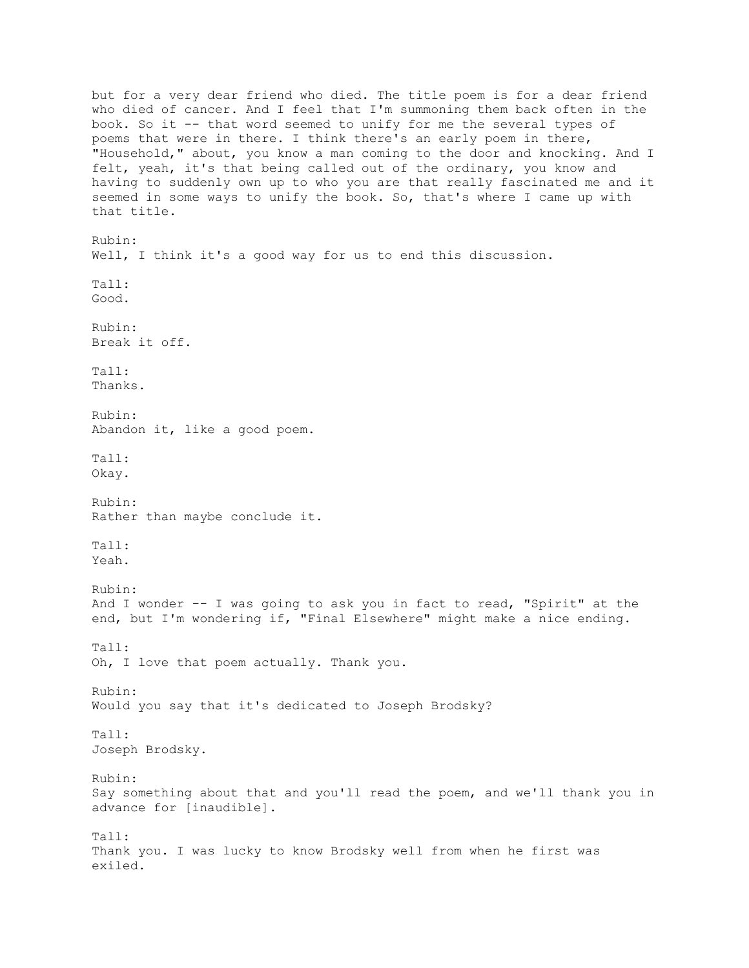but for a very dear friend who died. The title poem is for a dear friend who died of cancer. And I feel that I'm summoning them back often in the book. So it -- that word seemed to unify for me the several types of poems that were in there. I think there's an early poem in there, "Household," about, you know a man coming to the door and knocking. And I felt, yeah, it's that being called out of the ordinary, you know and having to suddenly own up to who you are that really fascinated me and it seemed in some ways to unify the book. So, that's where I came up with that title. Rubin: Well, I think it's a good way for us to end this discussion. Tall: Good. Rubin: Break it off. Tall: Thanks. Rubin: Abandon it, like a good poem. Tall: Okay. Rubin: Rather than maybe conclude it. Tall: Yeah. Rubin: And I wonder -- I was going to ask you in fact to read, "Spirit" at the end, but I'm wondering if, "Final Elsewhere" might make a nice ending. Tall: Oh, I love that poem actually. Thank you. Rubin: Would you say that it's dedicated to Joseph Brodsky? Tall: Joseph Brodsky. Rubin: Say something about that and you'll read the poem, and we'll thank you in advance for [inaudible]. Tall: Thank you. I was lucky to know Brodsky well from when he first was exiled.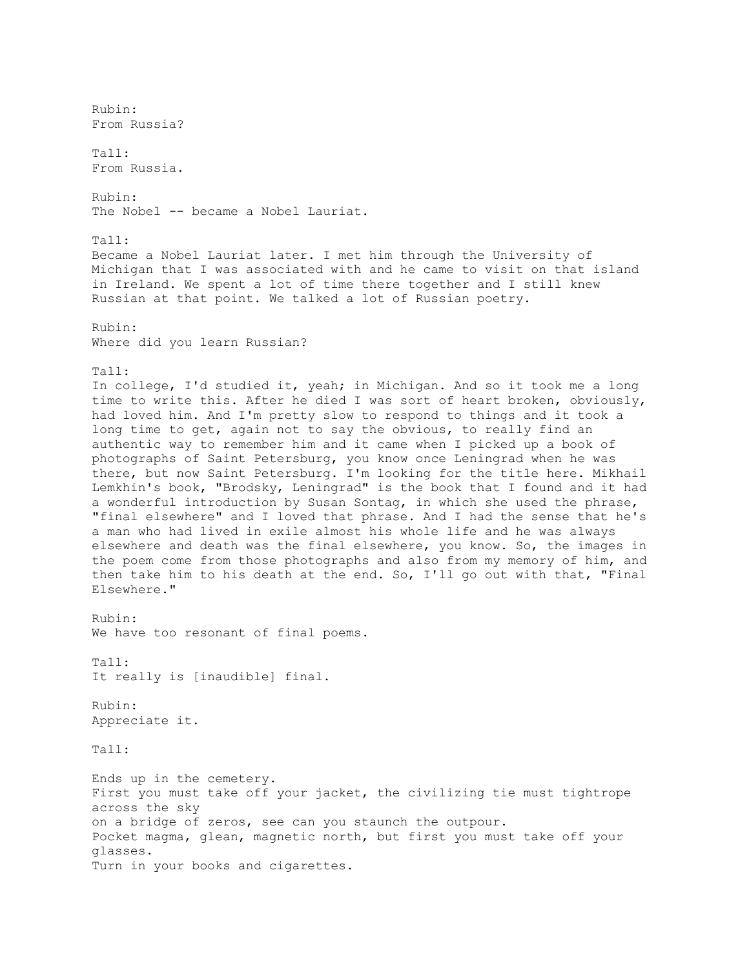Rubin: From Russia?  $Ta11:$ From Russia. Rubin: The Nobel -- became a Nobel Lauriat. Tall: Became a Nobel Lauriat later. I met him through the University of Michigan that I was associated with and he came to visit on that island in Ireland. We spent a lot of time there together and I still knew Russian at that point. We talked a lot of Russian poetry. Rubin: Where did you learn Russian? Tall: In college, I'd studied it, yeah; in Michigan. And so it took me a long time to write this. After he died I was sort of heart broken, obviously, had loved him. And I'm pretty slow to respond to things and it took a long time to get, again not to say the obvious, to really find an authentic way to remember him and it came when I picked up a book of photographs of Saint Petersburg, you know once Leningrad when he was there, but now Saint Petersburg. I'm looking for the title here. Mikhail Lemkhin's book, "Brodsky, Leningrad" is the book that I found and it had a wonderful introduction by Susan Sontag, in which she used the phrase, "final elsewhere" and I loved that phrase. And I had the sense that he's a man who had lived in exile almost his whole life and he was always elsewhere and death was the final elsewhere, you know. So, the images in the poem come from those photographs and also from my memory of him, and then take him to his death at the end. So, I'll go out with that, "Final Elsewhere." Rubin: We have too resonant of final poems. Tall: It really is [inaudible] final. Rubin: Appreciate it. Tall: Ends up in the cemetery. First you must take off your jacket, the civilizing tie must tightrope across the sky on a bridge of zeros, see can you staunch the outpour. Pocket magma, glean, magnetic north, but first you must take off your glasses. Turn in your books and cigarettes.